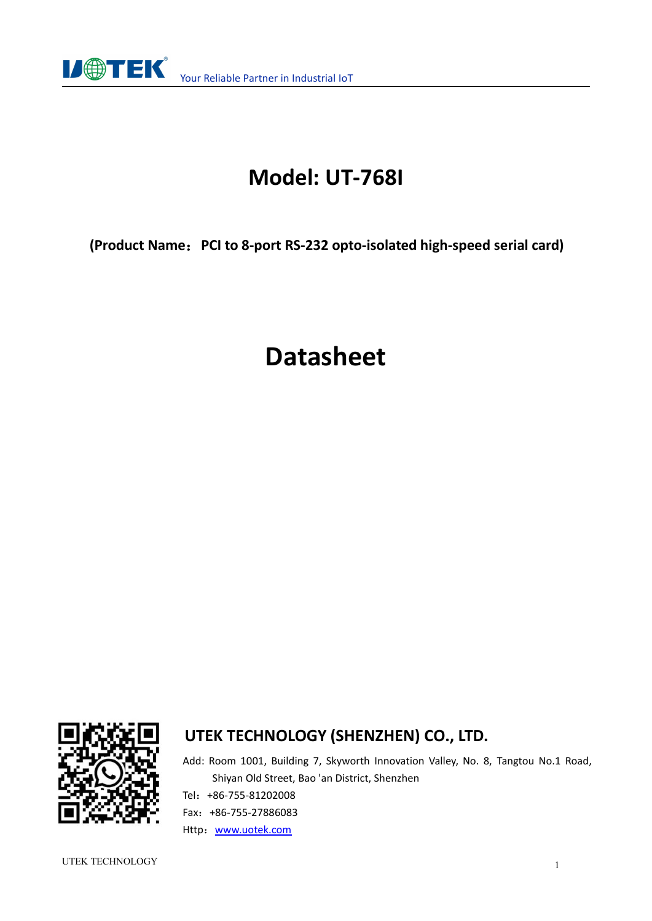

# **Model: UT-768I**

**(Product Name**:**PCI to 8-port RS-232 opto-isolated high-speed serial card)**

# **Datasheet**



### **UTEK TECHNOLOGY (SHENZHEN) CO., LTD.**

Add: Room 1001, Building 7, Skyworth Innovation Valley, No. 8, Tangtou No.1 Road, Shiyan Old Street, Bao 'an District, Shenzhen Tel:+86-755-81202008 Fax:+86-755-27886083 Http: [www.uotek.com](http://www.uotek.com)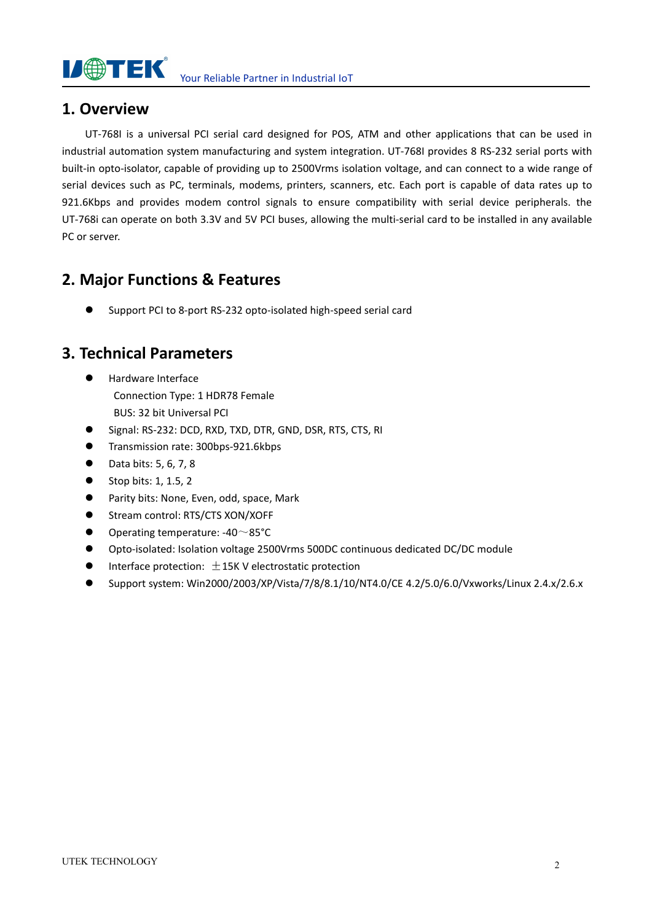

#### **1. Overview**

UT-768I is a universal PCI serial card designed for POS, ATM and other applications that can be used in industrial automation system manufacturing and system integration. UT-768I provides 8 RS-232 serial ports with built-in opto-isolator, capable of providing up to 2500Vrms isolation voltage, and can connect to a wide range of serial devices such as PC, terminals, modems, printers, scanners, etc. Each port is capable of data rates up to 921.6Kbps and provides modem control signals to ensure compatibility with serial device peripherals. the UT-768i can operate on both 3.3V and 5V PCI buses, allowing the multi-serial card to be installed in any available PC or server.

### **2. Major Functions & Features**

Support PCI to 8-port RS-232 opto-isolated high-speed serial card

#### **3. Technical Parameters**

- Hardware Interface Connection Type: 1 HDR78 Female BUS: 32 bit Universal PCI
- Signal: RS-232: DCD, RXD, TXD, DTR, GND, DSR, RTS, CTS, RI
- **Transmission rate: 300bps-921.6kbps**
- Data bits: 5, 6, 7, 8
- $\bullet$  Stop bits: 1, 1.5, 2
- **•** Parity bits: None, Even, odd, space, Mark
- Stream control: RTS/CTS XON/XOFF
- $\bullet$  Operating temperature: -40 ~85°C
- Opto-isolated: Isolation voltage 2500Vrms 500DC continuous dedicated DC/DC module
- $\bullet$  Interface protection:  $\pm$ 15K V electrostatic protection
- Support system: Win2000/2003/XP/Vista/7/8/8.1/10/NT4.0/CE 4.2/5.0/6.0/Vxworks/Linux 2.4.x/2.6.x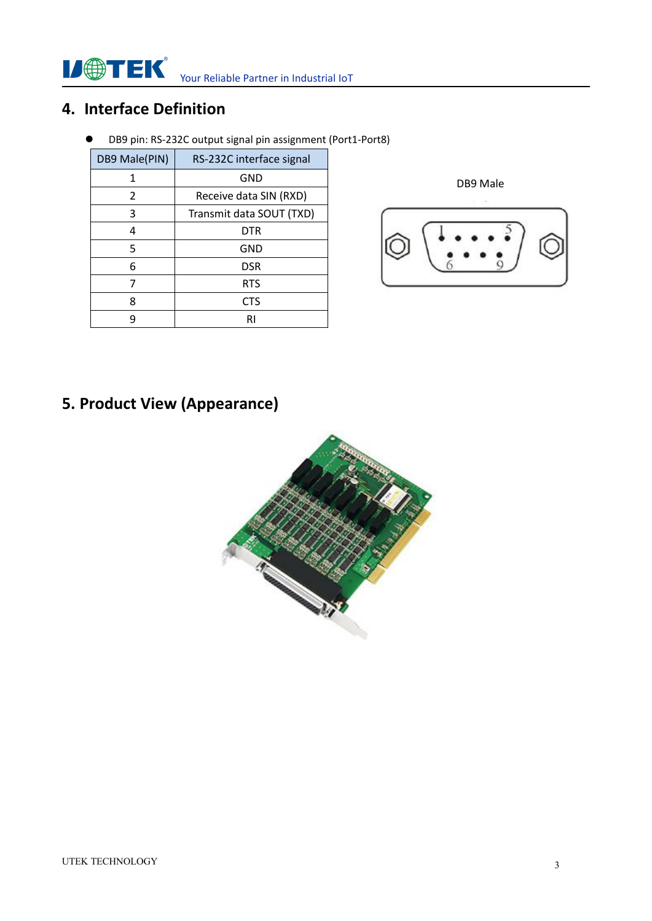**IJ®TEK** Your Reliable Partner in Industrial IoT

### **4. Interface Definition**

DB9 pin: RS-232C output signal pin assignment (Port1-Port8)

| DB9 Male(PIN) | RS-232C interface signal |  |
|---------------|--------------------------|--|
| 1             | <b>GND</b>               |  |
| $\mathcal{P}$ | Receive data SIN (RXD)   |  |
| 3             | Transmit data SOUT (TXD) |  |
| 4             | <b>DTR</b>               |  |
| 5             | <b>GND</b>               |  |
| 6             | <b>DSR</b>               |  |
|               | <b>RTS</b>               |  |
| 8             | <b>CTS</b>               |  |
| q             | RI                       |  |

DB9 Male

**5. Product View (Appearance)**